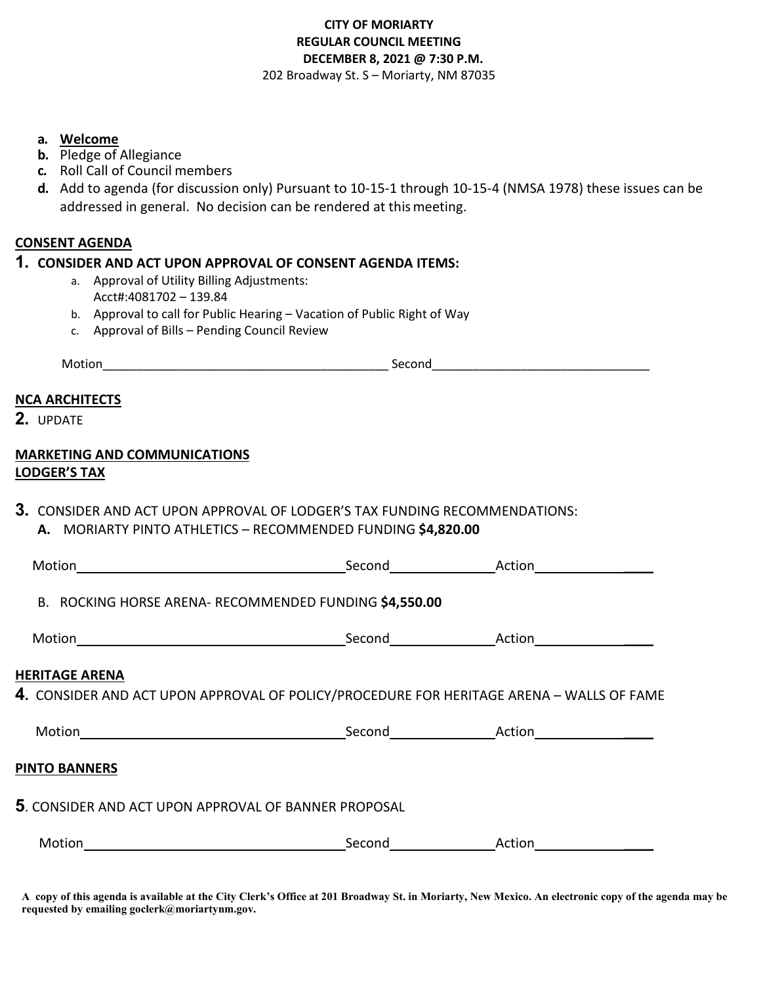#### **CITY OF MORIARTY REGULAR COUNCIL MEETING DECEMBER 8, 2021 @ 7:30 P.M.**  202 Broadway St. S – Moriarty, NM 87035

**a. Welcome**

- **b.** Pledge of Allegiance
- **c.** Roll Call of Council members
- **d.** Add to agenda (for discussion only) Pursuant to 10-15-1 through 10-15-4 (NMSA 1978) these issues can be addressed in general. No decision can be rendered at thismeeting.

#### **CONSENT AGENDA**

#### **1. CONSIDER AND ACT UPON APPROVAL OF CONSENT AGENDA ITEMS:**

- a. Approval of Utility Billing Adjustments: Acct#:4081702 – 139.84
- b. Approval to call for Public Hearing Vacation of Public Right of Way
- c. Approval of Bills Pending Council Review

| ___ |  |
|-----|--|
|     |  |

#### **NCA ARCHITECTS**

**2.** UPDATE

#### **MARKETING AND COMMUNICATIONS LODGER'S TAX**

**3.** CONSIDER AND ACT UPON APPROVAL OF LODGER'S TAX FUNDING RECOMMENDATIONS: **A.** MORIARTY PINTO ATHLETICS – RECOMMENDED FUNDING **\$4,820.00**

| Motion                                                                                   |                            | Second Action Action |
|------------------------------------------------------------------------------------------|----------------------------|----------------------|
| B. ROCKING HORSE ARENA- RECOMMENDED FUNDING \$4,550.00                                   |                            |                      |
|                                                                                          |                            |                      |
| <b>HERITAGE ARENA</b>                                                                    |                            |                      |
| 4. CONSIDER AND ACT UPON APPROVAL OF POLICY/PROCEDURE FOR HERITAGE ARENA - WALLS OF FAME |                            |                      |
|                                                                                          |                            |                      |
| <b>PINTO BANNERS</b>                                                                     |                            |                      |
| 5. CONSIDER AND ACT UPON APPROVAL OF BANNER PROPOSAL                                     |                            |                      |
| Motion                                                                                   | Second <u>____________</u> | Action               |

**A copy of this agenda is available at the City Clerk's Office at 201 Broadway St. in Moriarty, New Mexico. An electronic copy of the agenda may be requested by emailing goclerk@moriartynm.gov.**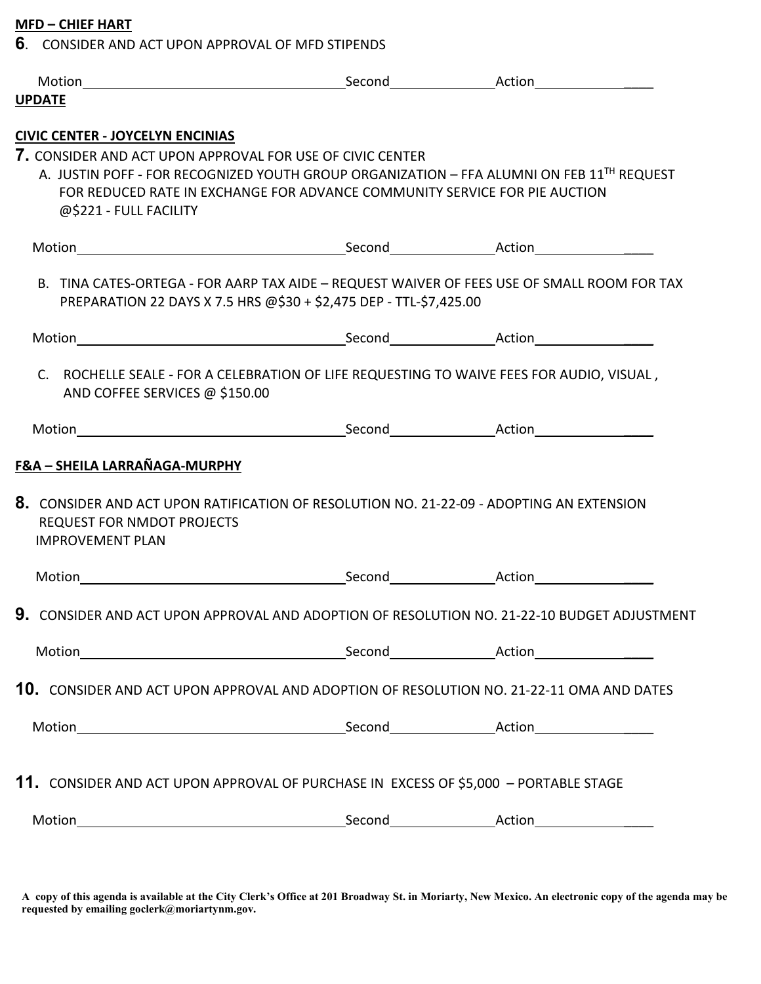## **MFD – CHIEF HART**

**6**. CONSIDER AND ACT UPON APPROVAL OF MFD STIPENDS

| <b>UPDATE</b>                                                |                                                                                           |                                                                                                       |
|--------------------------------------------------------------|-------------------------------------------------------------------------------------------|-------------------------------------------------------------------------------------------------------|
| <b>CIVIC CENTER - JOYCELYN ENCINIAS</b>                      |                                                                                           |                                                                                                       |
|                                                              | 7. CONSIDER AND ACT UPON APPROVAL FOR USE OF CIVIC CENTER                                 |                                                                                                       |
|                                                              |                                                                                           | A. JUSTIN POFF - FOR RECOGNIZED YOUTH GROUP ORGANIZATION - FFA ALUMNI ON FEB 11 <sup>TH</sup> REQUEST |
|                                                              | FOR REDUCED RATE IN EXCHANGE FOR ADVANCE COMMUNITY SERVICE FOR PIE AUCTION                |                                                                                                       |
| @\$221 - FULL FACILITY                                       |                                                                                           |                                                                                                       |
|                                                              |                                                                                           |                                                                                                       |
|                                                              | PREPARATION 22 DAYS X 7.5 HRS @\$30 + \$2,475 DEP - TTL-\$7,425.00                        | B. TINA CATES-ORTEGA - FOR AARP TAX AIDE - REQUEST WAIVER OF FEES USE OF SMALL ROOM FOR TAX           |
|                                                              |                                                                                           |                                                                                                       |
| AND COFFEE SERVICES @ \$150.00                               | C. ROCHELLE SEALE - FOR A CELEBRATION OF LIFE REQUESTING TO WAIVE FEES FOR AUDIO, VISUAL, |                                                                                                       |
|                                                              |                                                                                           |                                                                                                       |
|                                                              |                                                                                           |                                                                                                       |
|                                                              |                                                                                           |                                                                                                       |
| F&A - SHEILA LARRAÑAGA-MURPHY                                |                                                                                           |                                                                                                       |
| <b>REQUEST FOR NMDOT PROJECTS</b><br><b>IMPROVEMENT PLAN</b> | 8. CONSIDER AND ACT UPON RATIFICATION OF RESOLUTION NO. 21-22-09 - ADOPTING AN EXTENSION  |                                                                                                       |
|                                                              |                                                                                           |                                                                                                       |
|                                                              |                                                                                           | 9. CONSIDER AND ACT UPON APPROVAL AND ADOPTION OF RESOLUTION NO. 21-22-10 BUDGET ADJUSTMENT           |
|                                                              |                                                                                           |                                                                                                       |
|                                                              |                                                                                           |                                                                                                       |
|                                                              |                                                                                           | 10. CONSIDER AND ACT UPON APPROVAL AND ADOPTION OF RESOLUTION NO. 21-22-11 OMA AND DATES              |
|                                                              |                                                                                           |                                                                                                       |
|                                                              |                                                                                           |                                                                                                       |
|                                                              | 11. CONSIDER AND ACT UPON APPROVAL OF PURCHASE IN EXCESS OF \$5,000 - PORTABLE STAGE      |                                                                                                       |
|                                                              |                                                                                           |                                                                                                       |

**A copy of this agenda is available at the City Clerk's Office at 201 Broadway St. in Moriarty, New Mexico. An electronic copy of the agenda may be requested by emailing goclerk@moriartynm.gov.**